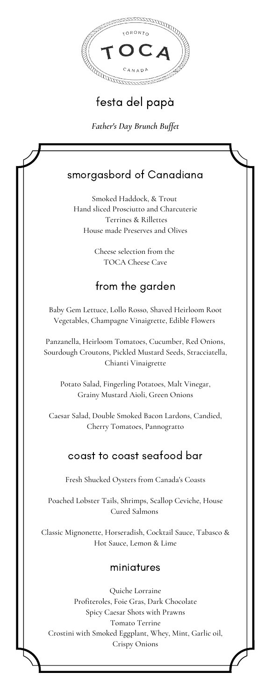

# festa del papà

*Father's Day Brunch Buffet*

## smorgasbord of Canadiana

Smoked Haddock, & Trout Hand sliced Prosciutto and Charcuterie Terrines & Rillettes House made Preserves and Olives

> Cheese selection from the TOCA Cheese Cave

### from the garden

Baby Gem Lettuce, Lollo Rosso, Shaved Heirloom Root Vegetables, Champagne Vinaigrette, Edible Flowers

Panzanella, Heirloom Tomatoes, Cucumber, Red Onions, Sourdough Croutons, Pickled Mustard Seeds, Stracciatella, Chianti Vinaigrette

Potato Salad, Fingerling Potatoes, Malt Vinegar, Grainy Mustard Aioli, Green Onions

Caesar Salad, Double Smoked Bacon Lardons, Candied, Cherry Tomatoes, Pannogratto

#### coast to coast seafood bar

Fresh Shucked Oysters from Canada's Coasts

Poached Lobster Tails, Shrimps, Scallop Ceviche, House Cured Salmons

Classic Mignonette, Horseradish, Cocktail Sauce, Tabasco & Hot Sauce, Lemon & Lime

#### miniatures

Quiche Lorraine Profiteroles, Foie Gras, Dark Chocolate Spicy Caesar Shots with Prawns Tomato Terrine Crostini with Smoked Eggplant, Whey, Mint, Garlic oil, Crispy Onions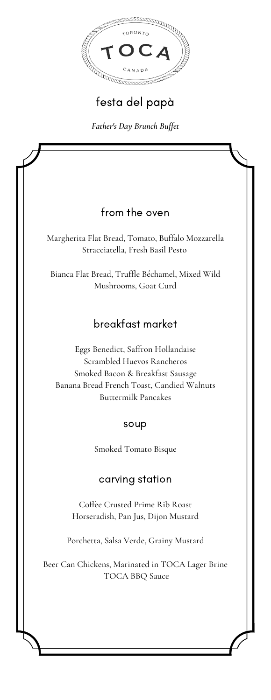

# festa del papà

*Father's Day Brunch Buffet*

### from the oven

Margherita Flat Bread, Tomato, Buffalo Mozzarella Stracciatella, Fresh Basil Pesto

Bianca Flat Bread, Truffle Béchamel, Mixed Wild Mushrooms, Goat Curd

### breakfast market

Eggs Benedict, Saffron Hollandaise Scrambled Huevos Rancheros Smoked Bacon & Breakfast Sausage Banana Bread French Toast, Candied Walnuts Buttermilk Pancakes

#### soup

Smoked Tomato Bisque

#### carving station

Coffee Crusted Prime Rib Roast Horseradish, Pan Jus, Dijon Mustard

Porchetta, Salsa Verde, Grainy Mustard

Beer Can Chickens, Marinated in TOCA Lager Brine TOCA BBQ Sauce